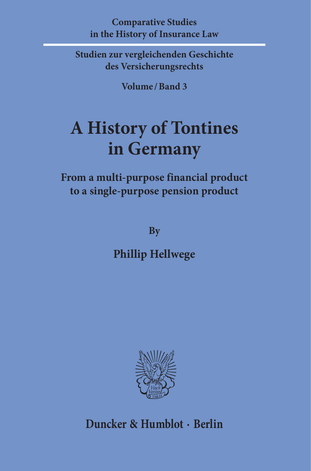**Comparative Studies in the History of Insurance Law**

**Studien zur vergleichenden Geschichte des Versicherungsrechts**

**Volume / Band 3**

## **A History of Tontines in Germany**

**From a multi-purpose financial product to a single-purpose pension product**

**By**

**Phillip Hellwege**



**Duncker & Humblot · Berlin**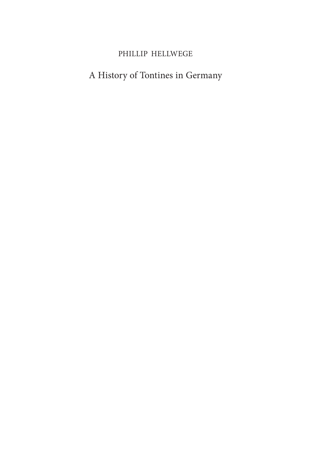## PHILLIP HELLWEGE

## A History of Tontines in Germany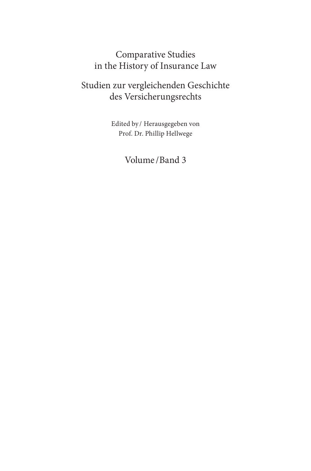## Comparative Studies in the History of Insurance Law

## Studien zur vergleichenden Geschichte des Versicherungsrechts

Edited by / Herausgegeben von Prof. Dr. Phillip Hellwege

## Volume /Band 3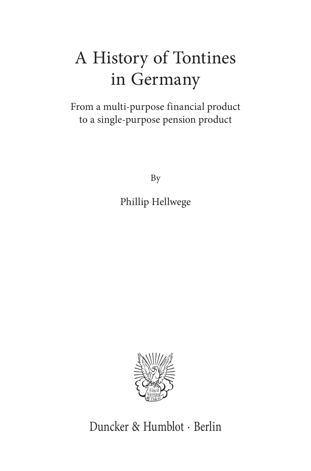# A History of Tontines in Germany

From a multi-purpose financial product to a single-purpose pension product

By

Phillip Hellwege



Duncker & Humblot · Berlin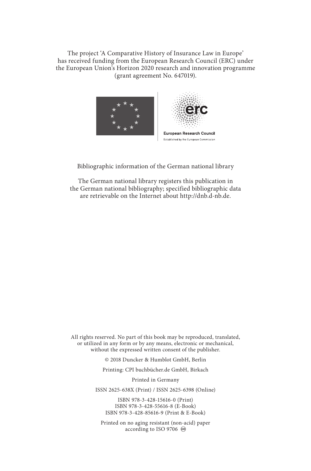The project 'A Comparative History of Insurance Law in Europe' has received funding from the European Research Council (ERC) under the European Union's Horizon 2020 research and innovation programme (grant agreement No. 647019).



#### Bibliographic information of the German national library

The German national library registers this publication in the German national bibliography; specified bibliographic data are retrievable on the Internet about http://dnb.d-nb.de.

All rights reserved. No part of this book may be reproduced, translated, or utilized in any form or by any means, electronic or mechanical, without the expressed written consent of the publisher.

© 2018 Duncker & Humblot GmbH, Berlin

Printing: CPI buchbücher.de GmbH, Birkach

Printed in Germany

ISSN 2625-638X (Print) / ISSN 2625-6398 (Online)

ISBN 978-3-428-15616-0 (Print) ISBN 978-3-428-55616-8 (E-Book) ISBN 978-3-428-85616-9 (Print & E-Book)

Printed on no aging resistant (non-acid) paper according to ISO 9706  $\otimes$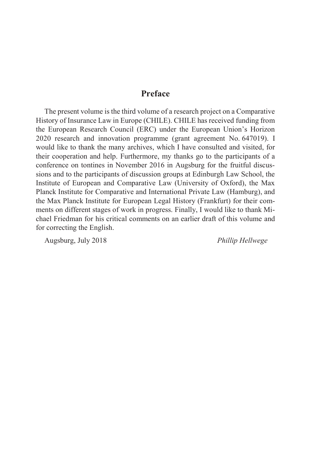## **Preface**

The present volume is the third volume of a research project on a Comparative History of Insurance Law in Europe (CHILE). CHILE has received funding from the European Research Council (ERC) under the European Union's Horizon 2020 research and innovation programme (grant agreement No. 647019). I would like to thank the many archives, which I have consulted and visited, for their cooperation and help. Furthermore, my thanks go to the participants of a conference on tontines in November 2016 in Augsburg for the fruitful discussions and to the participants of discussion groups at Edinburgh Law School, the Institute of European and Comparative Law (University of Oxford), the Max Planck Institute for Comparative and International Private Law (Hamburg), and the Max Planck Institute for European Legal History (Frankfurt) for their comments on different stages of work in progress. Finally, I would like to thank Michael Friedman for his critical comments on an earlier draft of this volume and for correcting the English.

Augsburg, July 2018 *Phillip Hellwege*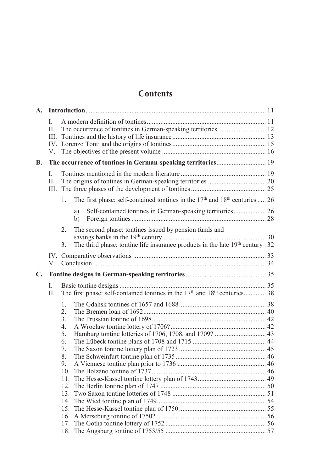## **Contents**

| $\mathbf{A}$ . |                         |                                                                                                      |          |                                                                                                                                                      |  |
|----------------|-------------------------|------------------------------------------------------------------------------------------------------|----------|------------------------------------------------------------------------------------------------------------------------------------------------------|--|
|                | L<br>$\mathbf{H}$<br>V. |                                                                                                      |          |                                                                                                                                                      |  |
| <b>B.</b>      |                         |                                                                                                      |          | The occurrence of tontines in German-speaking territories 19                                                                                         |  |
|                | L<br>II.                |                                                                                                      |          |                                                                                                                                                      |  |
|                |                         | 1.                                                                                                   |          | The first phase: self-contained tontines in the $17th$ and $18th$ centuries  26                                                                      |  |
|                |                         |                                                                                                      | a)<br>b) | Self-contained tontines in German-speaking territories 26                                                                                            |  |
|                |                         | $\mathfrak{2}$ .<br>3.                                                                               |          | The second phase: tontines issued by pension funds and<br>The third phase: tontine life insurance products in the late 19 <sup>th</sup> century . 32 |  |
|                | V –                     |                                                                                                      |          |                                                                                                                                                      |  |
| $\mathbf{C}$ . |                         |                                                                                                      |          |                                                                                                                                                      |  |
|                | L<br>II.                | The first phase: self-contained tontines in the 17 <sup>th</sup> and 18 <sup>th</sup> centuries 38   |          |                                                                                                                                                      |  |
|                |                         | $\mathbf{1}$ .<br>$\mathfrak{D}$<br>3.<br>4.<br>5.<br>6.<br>7.<br>8.<br>9.<br>11.<br>12 <sub>1</sub> |          |                                                                                                                                                      |  |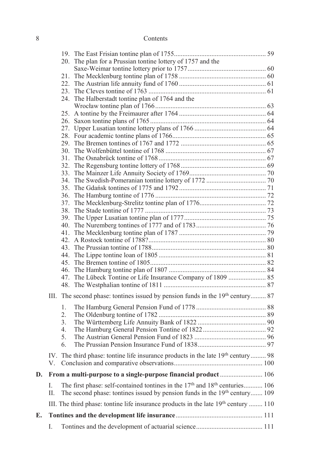### 8 Contents

|    |          | 20. The plan for a Prussian tontine lottery of 1757 and the                                         |  |
|----|----------|-----------------------------------------------------------------------------------------------------|--|
|    |          |                                                                                                     |  |
|    | 21.      |                                                                                                     |  |
|    | $22_{-}$ |                                                                                                     |  |
|    | 23.      |                                                                                                     |  |
|    | 24.      | The Halberstadt tontine plan of 1764 and the                                                        |  |
|    |          |                                                                                                     |  |
|    |          |                                                                                                     |  |
|    |          |                                                                                                     |  |
|    |          |                                                                                                     |  |
|    |          |                                                                                                     |  |
|    |          |                                                                                                     |  |
|    |          |                                                                                                     |  |
|    |          |                                                                                                     |  |
|    | 32.      |                                                                                                     |  |
|    | 33.      |                                                                                                     |  |
|    | 34.      |                                                                                                     |  |
|    | 35.      |                                                                                                     |  |
|    | 36.      |                                                                                                     |  |
|    | 37.      |                                                                                                     |  |
|    | 38.      |                                                                                                     |  |
|    | 39.      |                                                                                                     |  |
|    | 40.      |                                                                                                     |  |
|    | 41.      |                                                                                                     |  |
|    |          |                                                                                                     |  |
|    | 43.      |                                                                                                     |  |
|    |          |                                                                                                     |  |
|    | 45.      |                                                                                                     |  |
|    |          |                                                                                                     |  |
|    | 47.      |                                                                                                     |  |
|    |          |                                                                                                     |  |
|    | Ш.       | The second phase: tontines issued by pension funds in the 19 <sup>th</sup> century 87               |  |
|    | 1.       |                                                                                                     |  |
|    | 2.       |                                                                                                     |  |
|    | 3.       |                                                                                                     |  |
|    | 4.       |                                                                                                     |  |
|    | 5.       |                                                                                                     |  |
|    | 6.       |                                                                                                     |  |
|    |          | IV. The third phase: tontine life insurance products in the late 19th century 98                    |  |
|    | V.       |                                                                                                     |  |
| D. |          | From a multi-purpose to a single-purpose financial product  106                                     |  |
|    |          | The first phase: self-contained tontines in the 17 <sup>th</sup> and 18 <sup>th</sup> centuries 106 |  |
|    | L        |                                                                                                     |  |
|    | П.       | The second phase: tontines issued by pension funds in the 19th century 109                          |  |
|    |          | III. The third phase: tontine life insurance products in the late 19 <sup>th</sup> century  110     |  |
| E. |          |                                                                                                     |  |
|    | I.       |                                                                                                     |  |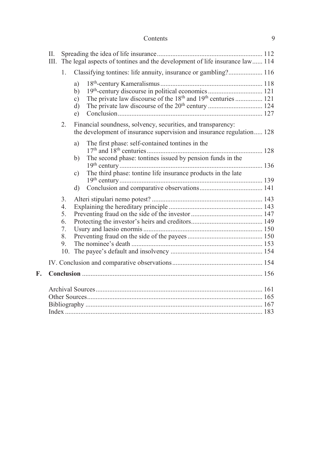### Contents 9

|    | H. | III. The legal aspects of tontines and the development of life insurance law 114 |                                        |                                                                                                                                             |  |
|----|----|----------------------------------------------------------------------------------|----------------------------------------|---------------------------------------------------------------------------------------------------------------------------------------------|--|
|    |    | 1 <sup>1</sup>                                                                   |                                        | Classifying tontines: life annuity, insurance or gambling? 116                                                                              |  |
|    |    |                                                                                  | a)<br>b)<br>$\mathbf{c}$ )<br>d)<br>e) | 19th-century discourse in political economics  121<br>The private law discourse of the 18 <sup>th</sup> and 19 <sup>th</sup> centuries  121 |  |
|    |    | 2.                                                                               |                                        | Financial soundness, solvency, securities, and transparency:<br>the development of insurance supervision and insurance regulation 128       |  |
|    |    |                                                                                  | a)<br>b)                               | The first phase: self-contained tontines in the<br>The second phase: tontines issued by pension funds in the                                |  |
|    |    |                                                                                  |                                        |                                                                                                                                             |  |
|    |    |                                                                                  | c)                                     | The third phase: tontine life insurance products in the late                                                                                |  |
|    |    |                                                                                  | d)                                     |                                                                                                                                             |  |
|    |    | $\overline{3}$ .                                                                 |                                        |                                                                                                                                             |  |
|    |    | 4.<br>5.                                                                         |                                        |                                                                                                                                             |  |
|    |    | 6.                                                                               |                                        |                                                                                                                                             |  |
|    |    | 7.                                                                               |                                        |                                                                                                                                             |  |
|    |    | 8.                                                                               |                                        |                                                                                                                                             |  |
|    |    | 9.<br>10.                                                                        |                                        |                                                                                                                                             |  |
|    |    |                                                                                  |                                        |                                                                                                                                             |  |
| F. |    |                                                                                  |                                        |                                                                                                                                             |  |
|    |    |                                                                                  |                                        |                                                                                                                                             |  |
|    |    |                                                                                  |                                        |                                                                                                                                             |  |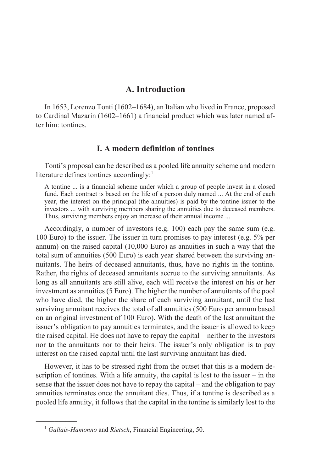## **A. Introduction**

<span id="page-11-0"></span>In 1653, Lorenzo Tonti (1602–1684), an Italian who lived in France, proposed to Cardinal Mazarin (1602–1661) a financial product which was later named after him: tontines.

#### **I. A modern definition of tontines**

<span id="page-11-1"></span>Tonti's proposal can be described as a pooled life annuity scheme and modern literature defines tontines accordingly:<sup>1</sup>

A tontine ... is a financial scheme under which a group of people invest in a closed fund. Each contract is based on the life of a person duly named ... At the end of each year, the interest on the principal (the annuities) is paid by the tontine issuer to the investors ... with surviving members sharing the annuities due to deceased members. Thus, surviving members enjoy an increase of their annual income ...

Accordingly, a number of investors (e.g. 100) each pay the same sum (e.g. 100 Euro) to the issuer. The issuer in turn promises to pay interest (e.g. 5% per annum) on the raised capital (10,000 Euro) as annuities in such a way that the total sum of annuities (500 Euro) is each year shared between the surviving annuitants. The heirs of deceased annuitants, thus, have no rights in the tontine. Rather, the rights of deceased annuitants accrue to the surviving annuitants. As long as all annuitants are still alive, each will receive the interest on his or her investment as annuities (5 Euro). The higher the number of annuitants of the pool who have died, the higher the share of each surviving annuitant, until the last surviving annuitant receives the total of all annuities (500 Euro per annum based on an original investment of 100 Euro). With the death of the last annuitant the issuer's obligation to pay annuities terminates, and the issuer is allowed to keep the raised capital. He does not have to repay the capital – neither to the investors nor to the annuitants nor to their heirs. The issuer's only obligation is to pay interest on the raised capital until the last surviving annuitant has died.

However, it has to be stressed right from the outset that this is a modern description of tontines. With a life annuity, the capital is lost to the issuer – in the sense that the issuer does not have to repay the capital – and the obligation to pay annuities terminates once the annuitant dies. Thus, if a tontine is described as a pooled life annuity, it follows that the capital in the tontine is similarly lost to the

 $\frac{1}{2}$ 

<sup>1</sup> *Gallais-Hamonno* and *Rietsch*, Financial Engineering, 50.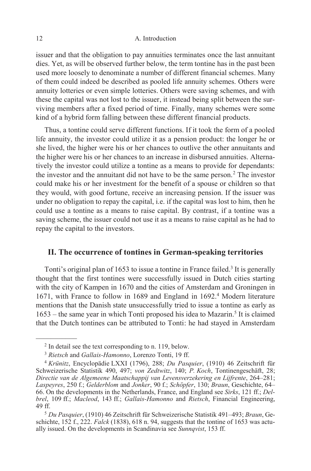#### 12 A. Introduction

issuer and that the obligation to pay annuities terminates once the last annuitant dies. Yet, as will be observed further below, the term tontine has in the past been used more loosely to denominate a number of different financial schemes. Many of them could indeed be described as pooled life annuity schemes. Others were annuity lotteries or even simple lotteries. Others were saving schemes, and with these the capital was not lost to the issuer, it instead being split between the surviving members after a fixed period of time. Finally, many schemes were some kind of a hybrid form falling between these different financial products.

Thus, a tontine could serve different functions. If it took the form of a pooled life annuity, the investor could utilize it as a pension product: the longer he or she lived, the higher were his or her chances to outlive the other annuitants and the higher were his or her chances to an increase in disbursed annuities. Alternatively the investor could utilize a tontine as a means to provide for dependants: the investor and the annuitant did not have to be the same person.<sup>2</sup> The investor could make his or her investment for the benefit of a spouse or children so that they would, with good fortune, receive an increasing pension. If the issuer was under no obligation to repay the capital, i.e. if the capital was lost to him, then he could use a tontine as a means to raise capital. By contrast, if a tontine was a saving scheme, the issuer could not use it as a means to raise capital as he had to repay the capital to the investors.

### <span id="page-12-0"></span>**II. The occurrence of tontines in German-speaking territories**

Tonti's original plan of 1653 to issue a tontine in France failed.<sup>3</sup> It is generally thought that the first tontines were successfully issued in Dutch cities starting with the city of Kampen in 1670 and the cities of Amsterdam and Groningen in 1671, with France to follow in 1689 and England in 1692.<sup>4</sup> Modern literature mentions that the Danish state unsuccessfully tried to issue a tontine as early as 1653 – the same year in which Tonti proposed his idea to Mazarin.<sup>5</sup> It is claimed that the Dutch tontines can be attributed to Tonti: he had stayed in Amsterdam

 $\frac{1}{2}$ 

<sup>2</sup> In detail see the text corresponding to n. 119, below.

<sup>3</sup> *Rietsch* and *Gallais-Hamonno*, Lorenzo Tonti, 19 ff.

<sup>4</sup> *Krünitz*, Encyclopädie LXXI (1796), 288; *Du Pasquier*, (1910) 46 Zeitschrift für Schweizerische Statistik 490, 497; *von Zedtwitz*, 140; *P. Koch*, Tontinengeschäft, 28; *Directie van de Algemeene Maatschappij van Levensverzekering en Lijfrente*, 264–281; *Laspeyres*, 250 f.; *Gelderblom* and *Jonker*, 90 f.; *Schöpfer*, 130; *Braun*, Geschichte, 64– 66. On the developments in the Netherlands, France, and England see *Sirks*, 121 ff.; *Delbrel*, 109 ff.; *Macleod*, 143 ff.; *Gallais-Hamonno* and *Rietsch*, Financial Engineering, 49 ff.

<sup>5</sup> *Du Pasquier*, (1910) 46 Zeitschrift für Schweizerische Statistik 491–493; *Braun*, Geschichte, 152 f., 222. *Falck* (1838), 618 n. 94, suggests that the tontine of 1653 was actually issued. On the developments in Scandinavia see *Sunnqvist*, 153 ff.